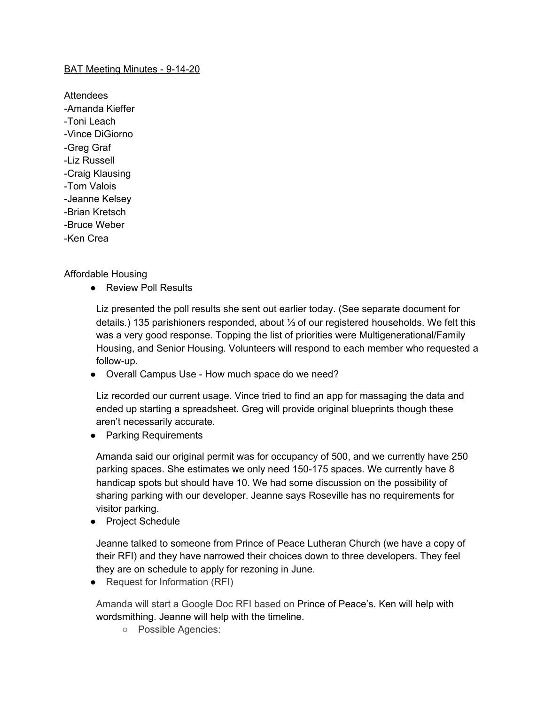## BAT Meeting Minutes - 9-14-20

**Attendees** -Amanda Kieffer -Toni Leach -Vince DiGiorno -Greg Graf -Liz Russell -Craig Klausing -Tom Valois -Jeanne Kelsey -Brian Kretsch -Bruce Weber -Ken Crea

## Affordable Housing

● Review Poll Results

Liz presented the poll results she sent out earlier today. (See separate document for details.) 135 parishioners responded, about ⅓ of our registered households. We felt this was a very good response. Topping the list of priorities were Multigenerational/Family Housing, and Senior Housing. Volunteers will respond to each member who requested a follow-up.

● Overall Campus Use - How much space do we need?

Liz recorded our current usage. Vince tried to find an app for massaging the data and ended up starting a spreadsheet. Greg will provide original blueprints though these aren't necessarily accurate.

● Parking Requirements

Amanda said our original permit was for occupancy of 500, and we currently have 250 parking spaces. She estimates we only need 150-175 spaces. We currently have 8 handicap spots but should have 10. We had some discussion on the possibility of sharing parking with our developer. Jeanne says Roseville has no requirements for visitor parking.

● Project Schedule

Jeanne talked to someone from Prince of Peace Lutheran Church (we have a copy of their RFI) and they have narrowed their choices down to three developers. They feel they are on schedule to apply for rezoning in June.

● Request for Information (RFI)

Amanda will start a Google Doc RFI based on Prince of Peace's. Ken will help with wordsmithing. Jeanne will help with the timeline.

○ Possible Agencies: